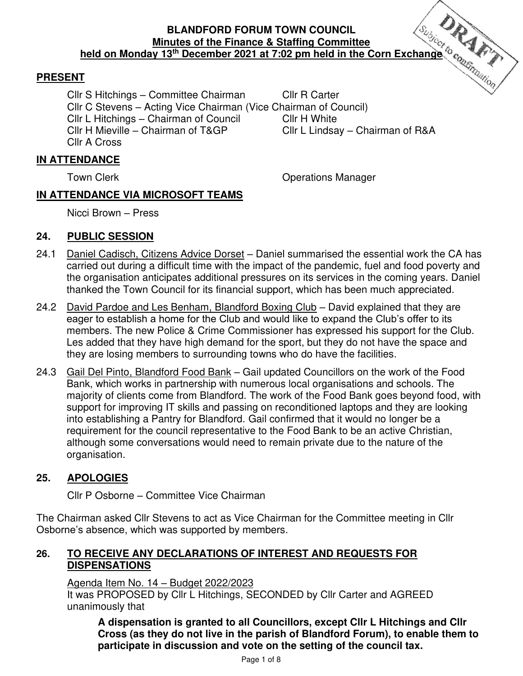# **BLANDFORD FORUM TOWN COUNCIL Minutes of the Finance & Staffing Committee held on Monday 13<sup>th</sup> December 2021 at 7:02 pm held in the Corn Exchange <sup>to</sup>correspond the Finance & Staffing Committee held in the Corn Exchange <sup>to</sup>correspond the United States of the Finance <b>2021 at 7:02 pm held in t**

## **PRESENT**

Cllr S Hitchings – Committee Chairman Cllr R Carter Cllr C Stevens – Acting Vice Chairman (Vice Chairman of Council) Cllr L Hitchings – Chairman of Council Cllr H White Cllr H Mieville – Chairman of T&GP Cllr L Lindsay – Chairman of R&A Cllr A Cross

## **IN ATTENDANCE**

Town Clerk **Town Clerk Clerge Clerge Clerge Clerge Clerge Clerge Clerge Clerge Clerge Clerge Clerge Clerge Clerge Clerge Clerge Clerge Clerge Clerge Clerge Clerge Clerge Clerge Clerge Clerge Clerge Clerge Clerge Clerge C** 

## **IN ATTENDANCE VIA MICROSOFT TEAMS**

Nicci Brown – Press

## **24. PUBLIC SESSION**

- 24.1 Daniel Cadisch, Citizens Advice Dorset Daniel summarised the essential work the CA has carried out during a difficult time with the impact of the pandemic, fuel and food poverty and the organisation anticipates additional pressures on its services in the coming years. Daniel thanked the Town Council for its financial support, which has been much appreciated.
- 24.2 David Pardoe and Les Benham, Blandford Boxing Club David explained that they are eager to establish a home for the Club and would like to expand the Club's offer to its members. The new Police & Crime Commissioner has expressed his support for the Club. Les added that they have high demand for the sport, but they do not have the space and they are losing members to surrounding towns who do have the facilities.
- 24.3 Gail Del Pinto, Blandford Food Bank Gail updated Councillors on the work of the Food Bank, which works in partnership with numerous local organisations and schools. The majority of clients come from Blandford. The work of the Food Bank goes beyond food, with support for improving IT skills and passing on reconditioned laptops and they are looking into establishing a Pantry for Blandford. Gail confirmed that it would no longer be a requirement for the council representative to the Food Bank to be an active Christian, although some conversations would need to remain private due to the nature of the organisation.

## **25. APOLOGIES**

Cllr P Osborne – Committee Vice Chairman

The Chairman asked Cllr Stevens to act as Vice Chairman for the Committee meeting in Cllr Osborne's absence, which was supported by members.

## **26. TO RECEIVE ANY DECLARATIONS OF INTEREST AND REQUESTS FOR DISPENSATIONS**

Agenda Item No. 14 – Budget 2022/2023

 It was PROPOSED by Cllr L Hitchings, SECONDED by Cllr Carter and AGREED unanimously that

**A dispensation is granted to all Councillors, except Cllr L Hitchings and Cllr Cross (as they do not live in the parish of Blandford Forum), to enable them to participate in discussion and vote on the setting of the council tax.**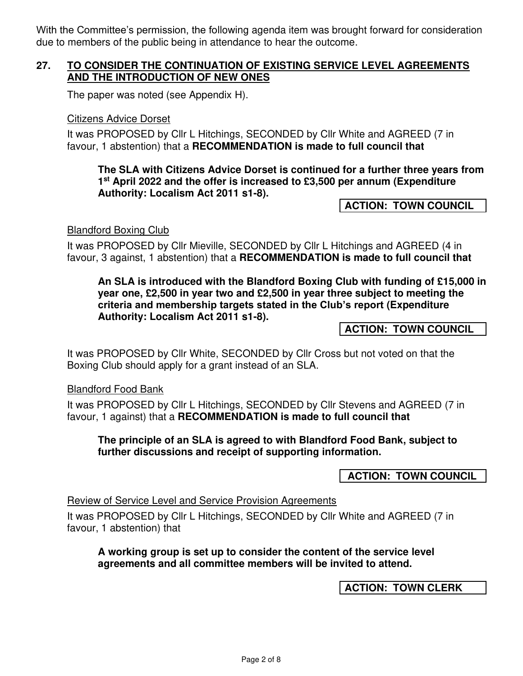With the Committee's permission, the following agenda item was brought forward for consideration due to members of the public being in attendance to hear the outcome.

## **27. TO CONSIDER THE CONTINUATION OF EXISTING SERVICE LEVEL AGREEMENTS AND THE INTRODUCTION OF NEW ONES**

The paper was noted (see Appendix H).

#### Citizens Advice Dorset

It was PROPOSED by Cllr L Hitchings, SECONDED by Cllr White and AGREED (7 in favour, 1 abstention) that a **RECOMMENDATION is made to full council that** 

#### **The SLA with Citizens Advice Dorset is continued for a further three years from 1 st April 2022 and the offer is increased to £3,500 per annum (Expenditure Authority: Localism Act 2011 s1-8).**

**ACTION: TOWN COUNCIL** 

#### Blandford Boxing Club

It was PROPOSED by Cllr Mieville, SECONDED by Cllr L Hitchings and AGREED (4 in favour, 3 against, 1 abstention) that a **RECOMMENDATION is made to full council that** 

**An SLA is introduced with the Blandford Boxing Club with funding of £15,000 in year one, £2,500 in year two and £2,500 in year three subject to meeting the criteria and membership targets stated in the Club's report (Expenditure Authority: Localism Act 2011 s1-8).** 

**ACTION: TOWN COUNCIL** 

It was PROPOSED by Cllr White, SECONDED by Cllr Cross but not voted on that the Boxing Club should apply for a grant instead of an SLA.

#### Blandford Food Bank

It was PROPOSED by Cllr L Hitchings, SECONDED by Cllr Stevens and AGREED (7 in favour, 1 against) that a **RECOMMENDATION is made to full council that** 

#### **The principle of an SLA is agreed to with Blandford Food Bank, subject to further discussions and receipt of supporting information.**

 **ACTION: TOWN COUNCIL** 

#### Review of Service Level and Service Provision Agreements

It was PROPOSED by Cllr L Hitchings, SECONDED by Cllr White and AGREED (7 in favour, 1 abstention) that

## **A working group is set up to consider the content of the service level agreements and all committee members will be invited to attend.**

**ACTION: TOWN CLERK**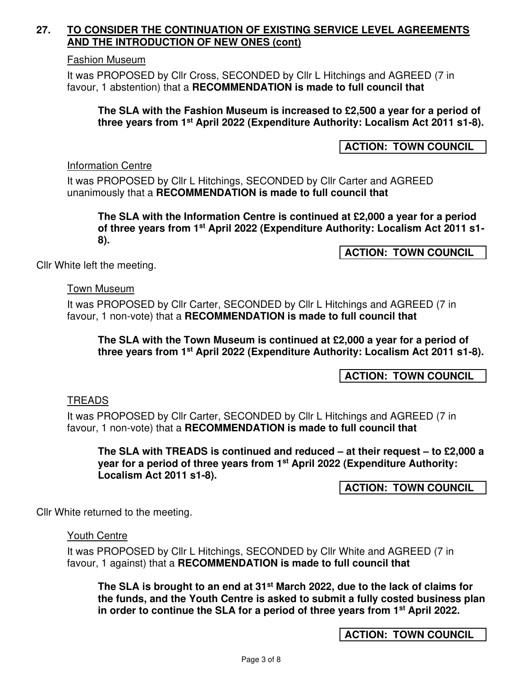## **27. TO CONSIDER THE CONTINUATION OF EXISTING SERVICE LEVEL AGREEMENTS AND THE INTRODUCTION OF NEW ONES (cont)**

#### Fashion Museum

It was PROPOSED by Cllr Cross, SECONDED by Cllr L Hitchings and AGREED (7 in favour, 1 abstention) that a **RECOMMENDATION is made to full council that** 

**The SLA with the Fashion Museum is increased to £2,500 a year for a period of three years from 1st April 2022 (Expenditure Authority: Localism Act 2011 s1-8).** 

## **ACTION: TOWN COUNCIL**

#### Information Centre

It was PROPOSED by Cllr L Hitchings, SECONDED by Cllr Carter and AGREED unanimously that a **RECOMMENDATION is made to full council that** 

**The SLA with the Information Centre is continued at £2,000 a year for a period of three years from 1st April 2022 (Expenditure Authority: Localism Act 2011 s1- 8).** 

**ACTION: TOWN COUNCIL** 

Cllr White left the meeting.

#### Town Museum

It was PROPOSED by Cllr Carter, SECONDED by Cllr L Hitchings and AGREED (7 in favour, 1 non-vote) that a **RECOMMENDATION is made to full council that** 

**The SLA with the Town Museum is continued at £2,000 a year for a period of three years from 1st April 2022 (Expenditure Authority: Localism Act 2011 s1-8).** 

**ACTION: TOWN COUNCIL** 

## TREADS

It was PROPOSED by Cllr Carter, SECONDED by Cllr L Hitchings and AGREED (7 in favour, 1 non-vote) that a **RECOMMENDATION is made to full council that** 

**The SLA with TREADS is continued and reduced – at their request – to £2,000 a year for a period of three years from 1st April 2022 (Expenditure Authority: Localism Act 2011 s1-8).** 

**ACTION: TOWN COUNCIL** 

Cllr White returned to the meeting.

Youth Centre

It was PROPOSED by Cllr L Hitchings, SECONDED by Cllr White and AGREED (7 in favour, 1 against) that a **RECOMMENDATION is made to full council that** 

**The SLA is brought to an end at 31st March 2022, due to the lack of claims for the funds, and the Youth Centre is asked to submit a fully costed business plan in order to continue the SLA for a period of three years from 1st April 2022.** 

**ACTION: TOWN COUNCIL**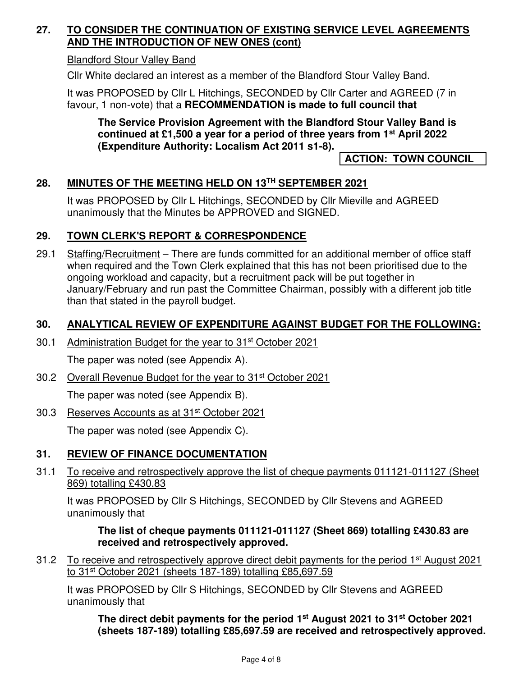## **27. TO CONSIDER THE CONTINUATION OF EXISTING SERVICE LEVEL AGREEMENTS AND THE INTRODUCTION OF NEW ONES (cont)**

## Blandford Stour Valley Band

Cllr White declared an interest as a member of the Blandford Stour Valley Band.

It was PROPOSED by Cllr L Hitchings, SECONDED by Cllr Carter and AGREED (7 in favour, 1 non-vote) that a **RECOMMENDATION is made to full council that** 

## **The Service Provision Agreement with the Blandford Stour Valley Band is continued at £1,500 a year for a period of three years from 1st April 2022 (Expenditure Authority: Localism Act 2011 s1-8).**

## **ACTION: TOWN COUNCIL**

## **28. MINUTES OF THE MEETING HELD ON 13TH SEPTEMBER 2021**

It was PROPOSED by Cllr L Hitchings, SECONDED by Cllr Mieville and AGREED unanimously that the Minutes be APPROVED and SIGNED.

## **29. TOWN CLERK'S REPORT & CORRESPONDENCE**

29.1 Staffing/Recruitment – There are funds committed for an additional member of office staff when required and the Town Clerk explained that this has not been prioritised due to the ongoing workload and capacity, but a recruitment pack will be put together in January/February and run past the Committee Chairman, possibly with a different job title than that stated in the payroll budget.

## **30. ANALYTICAL REVIEW OF EXPENDITURE AGAINST BUDGET FOR THE FOLLOWING:**

30.1 Administration Budget for the year to 31st October 2021

The paper was noted (see Appendix A).

30.2 Overall Revenue Budget for the year to 31st October 2021

The paper was noted (see Appendix B).

## 30.3 Reserves Accounts as at 31st October 2021

The paper was noted (see Appendix C).

# **31. REVIEW OF FINANCE DOCUMENTATION**

31.1 To receive and retrospectively approve the list of cheque payments 011121-011127 (Sheet 869) totalling £430.83

It was PROPOSED by Cllr S Hitchings, SECONDED by Cllr Stevens and AGREED unanimously that

## **The list of cheque payments 011121-011127 (Sheet 869) totalling £430.83 are received and retrospectively approved.**

31.2 To receive and retrospectively approve direct debit payments for the period 1<sup>st</sup> August 2021 to 31st October 2021 (sheets 187-189) totalling £85,697.59

It was PROPOSED by Cllr S Hitchings, SECONDED by Cllr Stevens and AGREED unanimously that

**The direct debit payments for the period 1st August 2021 to 31st October 2021 (sheets 187-189) totalling £85,697.59 are received and retrospectively approved.**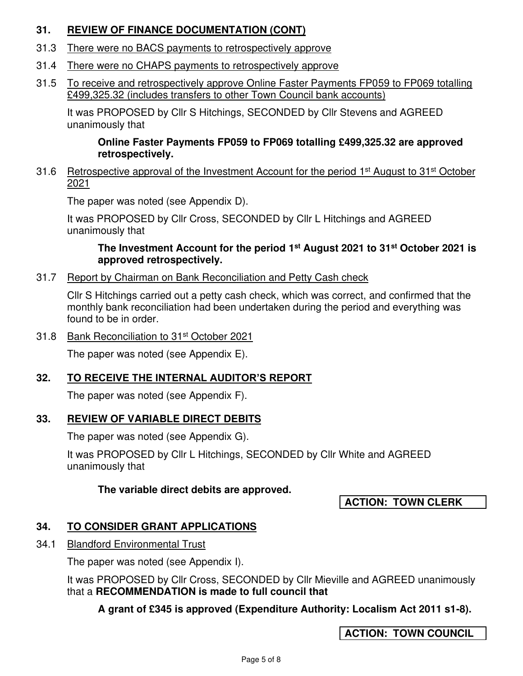## **31. REVIEW OF FINANCE DOCUMENTATION (CONT)**

- 31.3 There were no BACS payments to retrospectively approve
- 31.4 There were no CHAPS payments to retrospectively approve
- 31.5 To receive and retrospectively approve Online Faster Payments FP059 to FP069 totalling £499,325.32 (includes transfers to other Town Council bank accounts)

It was PROPOSED by Cllr S Hitchings, SECONDED by Cllr Stevens and AGREED unanimously that

## **Online Faster Payments FP059 to FP069 totalling £499,325.32 are approved retrospectively.**

31.6 Retrospective approval of the Investment Account for the period  $1<sup>st</sup>$  August to 31<sup>st</sup> October 2021

The paper was noted (see Appendix D).

It was PROPOSED by Cllr Cross, SECONDED by Cllr L Hitchings and AGREED unanimously that

## **The Investment Account for the period 1st August 2021 to 31st October 2021 is approved retrospectively.**

31.7 Report by Chairman on Bank Reconciliation and Petty Cash check

Cllr S Hitchings carried out a petty cash check, which was correct, and confirmed that the monthly bank reconciliation had been undertaken during the period and everything was found to be in order.

31.8 Bank Reconciliation to 31st October 2021

The paper was noted (see Appendix E).

# **32. TO RECEIVE THE INTERNAL AUDITOR'S REPORT**

The paper was noted (see Appendix F).

## **33. REVIEW OF VARIABLE DIRECT DEBITS**

The paper was noted (see Appendix G).

It was PROPOSED by Cllr L Hitchings, SECONDED by Cllr White and AGREED unanimously that

## **The variable direct debits are approved.**

**ACTION: TOWN CLERK** 

# **34. TO CONSIDER GRANT APPLICATIONS**

34.1 Blandford Environmental Trust

The paper was noted (see Appendix I).

It was PROPOSED by Cllr Cross, SECONDED by Cllr Mieville and AGREED unanimously that a **RECOMMENDATION is made to full council that** 

**A grant of £345 is approved (Expenditure Authority: Localism Act 2011 s1-8).** 

**ACTION: TOWN COUNCIL**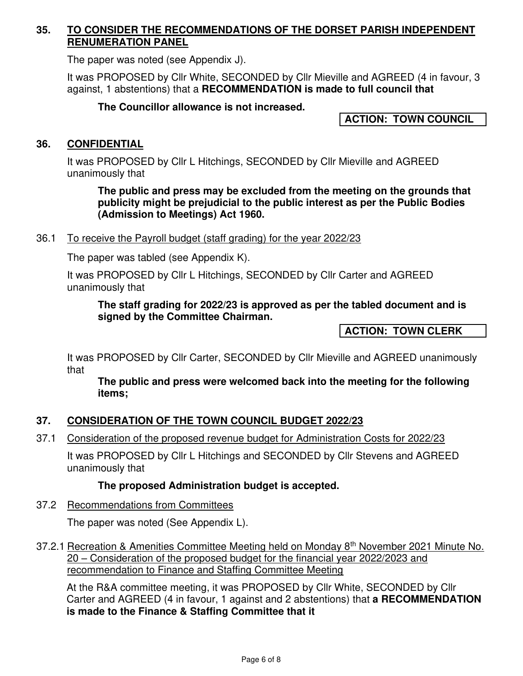## **35. TO CONSIDER THE RECOMMENDATIONS OF THE DORSET PARISH INDEPENDENT RENUMERATION PANEL**

The paper was noted (see Appendix J).

It was PROPOSED by Cllr White, SECONDED by Cllr Mieville and AGREED (4 in favour, 3 against, 1 abstentions) that a **RECOMMENDATION is made to full council that**

## **The Councillor allowance is not increased.**

**ACTION: TOWN COUNCIL** 

## **36. CONFIDENTIAL**

It was PROPOSED by Cllr L Hitchings, SECONDED by Cllr Mieville and AGREED unanimously that

**The public and press may be excluded from the meeting on the grounds that publicity might be prejudicial to the public interest as per the Public Bodies (Admission to Meetings) Act 1960.** 

## 36.1 To receive the Payroll budget (staff grading) for the year 2022/23

The paper was tabled (see Appendix K).

It was PROPOSED by Cllr L Hitchings, SECONDED by Cllr Carter and AGREED unanimously that

## **The staff grading for 2022/23 is approved as per the tabled document and is signed by the Committee Chairman.**

**ACTION: TOWN CLERK** 

It was PROPOSED by Cllr Carter, SECONDED by Cllr Mieville and AGREED unanimously that

 **The public and press were welcomed back into the meeting for the following items;** 

## **37. CONSIDERATION OF THE TOWN COUNCIL BUDGET 2022/23**

37.1 Consideration of the proposed revenue budget for Administration Costs for 2022/23

It was PROPOSED by Cllr L Hitchings and SECONDED by Cllr Stevens and AGREED unanimously that

## **The proposed Administration budget is accepted.**

37.2 Recommendations from Committees

The paper was noted (See Appendix L).

37.2.1 Recreation & Amenities Committee Meeting held on Monday 8<sup>th</sup> November 2021 Minute No. 20 – Consideration of the proposed budget for the financial year 2022/2023 and recommendation to Finance and Staffing Committee Meeting

At the R&A committee meeting, it was PROPOSED by Cllr White, SECONDED by Cllr Carter and AGREED (4 in favour, 1 against and 2 abstentions) that **a RECOMMENDATION is made to the Finance & Staffing Committee that it**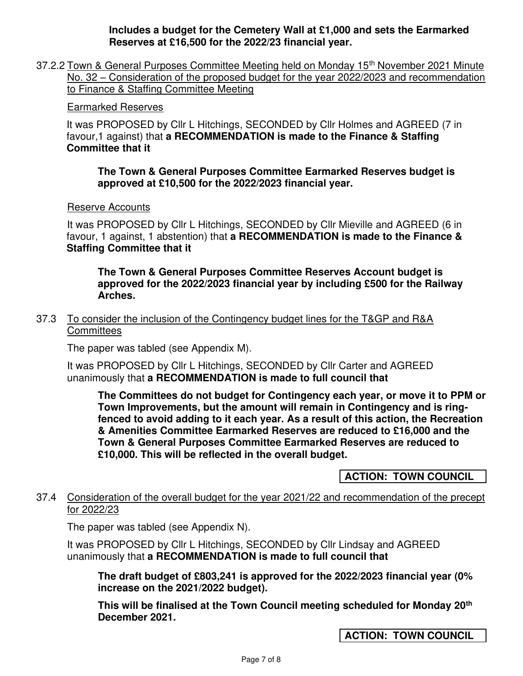**Includes a budget for the Cemetery Wall at £1,000 and sets the Earmarked Reserves at £16,500 for the 2022/23 financial year.** 

37.2.2 Town & General Purposes Committee Meeting held on Monday 15<sup>th</sup> November 2021 Minute No. 32 – Consideration of the proposed budget for the year 2022/2023 and recommendation to Finance & Staffing Committee Meeting

#### Earmarked Reserves

It was PROPOSED by Cllr L Hitchings, SECONDED by Cllr Holmes and AGREED (7 in favour,1 against) that **a RECOMMENDATION is made to the Finance & Staffing Committee that it**

**The Town & General Purposes Committee Earmarked Reserves budget is approved at £10,500 for the 2022/2023 financial year.** 

#### Reserve Accounts

It was PROPOSED by Cllr L Hitchings, SECONDED by Cllr Mieville and AGREED (6 in favour, 1 against, 1 abstention) that **a RECOMMENDATION is made to the Finance & Staffing Committee that it** 

**The Town & General Purposes Committee Reserves Account budget is approved for the 2022/2023 financial year by including £500 for the Railway Arches.** 

37.3 To consider the inclusion of the Contingency budget lines for the T&GP and R&A **Committees** 

The paper was tabled (see Appendix M).

It was PROPOSED by Cllr L Hitchings, SECONDED by Cllr Carter and AGREED unanimously that **a RECOMMENDATION is made to full council that** 

**The Committees do not budget for Contingency each year, or move it to PPM or Town Improvements, but the amount will remain in Contingency and is ringfenced to avoid adding to it each year. As a result of this action, the Recreation & Amenities Committee Earmarked Reserves are reduced to £16,000 and the Town & General Purposes Committee Earmarked Reserves are reduced to £10,000. This will be reflected in the overall budget.** 

**ACTION: TOWN COUNCIL** 

## 37.4 Consideration of the overall budget for the year 2021/22 and recommendation of the precept for 2022/23

The paper was tabled (see Appendix N).

It was PROPOSED by Cllr L Hitchings, SECONDED by Cllr Lindsay and AGREED unanimously that **a RECOMMENDATION is made to full council that**

**The draft budget of £803,241 is approved for the 2022/2023 financial year (0% increase on the 2021/2022 budget).** 

**This will be finalised at the Town Council meeting scheduled for Monday 20th December 2021.** 

**ACTION: TOWN COUNCIL**